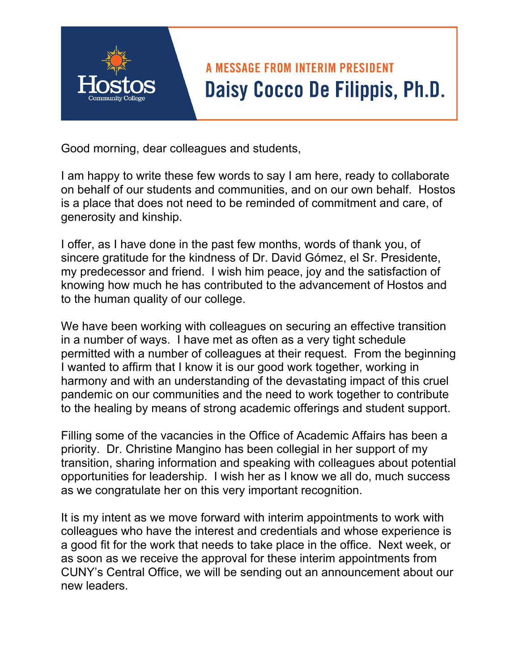## **A MESSAGE FROM INTERIM PRESIDENT** Daisy Cocco De Filippis, Ph.D.

Good morning, dear colleagues and students,

I am happy to write these few words to say I am here, ready to collaborate on behalf of our students and communities, and on our own behalf. Hostos is a place that does not need to be reminded of commitment and care, of generosity and kinship.

I offer, as I have done in the past few months, words of thank you, of sincere gratitude for the kindness of Dr. David Gómez, el Sr. Presidente, my predecessor and friend. I wish him peace, joy and the satisfaction of knowing how much he has contributed to the advancement of Hostos and to the human quality of our college.

We have been working with colleagues on securing an effective transition in a number of ways. I have met as often as a very tight schedule permitted with a number of colleagues at their request. From the beginning I wanted to affirm that I know it is our good work together, working in harmony and with an understanding of the devastating impact of this cruel pandemic on our communities and the need to work together to contribute to the healing by means of strong academic offerings and student support.

Filling some of the vacancies in the Office of Academic Affairs has been a priority. Dr. Christine Mangino has been collegial in her support of my transition, sharing information and speaking with colleagues about potential opportunities for leadership. I wish her as I know we all do, much success as we congratulate her on this very important recognition.

It is my intent as we move forward with interim appointments to work with colleagues who have the interest and credentials and whose experience is a good fit for the work that needs to take place in the office. Next week, or as soon as we receive the approval for these interim appointments from CUNY's Central Office, we will be sending out an announcement about our new leaders.